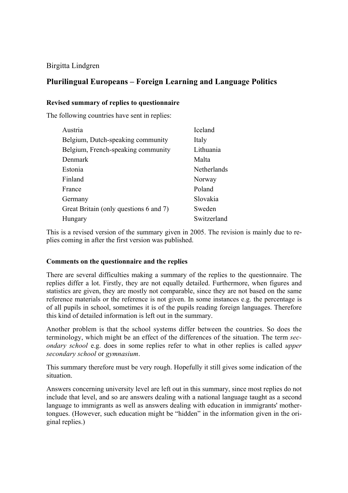# Birgitta Lindgren

# **Plurilingual Europeans – Foreign Learning and Language Politics**

### **Revised summary of replies to questionnaire**

The following countries have sent in replies:

| Austria                                | Iceland     |
|----------------------------------------|-------------|
| Belgium, Dutch-speaking community      | Italy       |
| Belgium, French-speaking community     | Lithuania   |
| Denmark                                | Malta       |
| Estonia                                | Netherlands |
| Finland                                | Norway      |
| France                                 | Poland      |
| Germany                                | Slovakia    |
| Great Britain (only questions 6 and 7) | Sweden      |
| Hungary                                | Switzerland |

This is a revised version of the summary given in 2005. The revision is mainly due to replies coming in after the first version was published.

# **Comments on the questionnaire and the replies**

There are several difficulties making a summary of the replies to the questionnaire. The replies differ a lot. Firstly, they are not equally detailed. Furthermore, when figures and statistics are given, they are mostly not comparable, since they are not based on the same reference materials or the reference is not given. In some instances e.g. the percentage is of all pupils in school, sometimes it is of the pupils reading foreign languages. Therefore this kind of detailed information is left out in the summary.

Another problem is that the school systems differ between the countries. So does the terminology, which might be an effect of the differences of the situation. The term *secondary school* e.g. does in some replies refer to what in other replies is called *upper secondary school* or *gymnasium*.

This summary therefore must be very rough. Hopefully it still gives some indication of the situation.

Answers concerning university level are left out in this summary, since most replies do not include that level, and so are answers dealing with a national language taught as a second language to immigrants as well as answers dealing with education in immigrants' mothertongues. (However, such education might be "hidden" in the information given in the original replies.)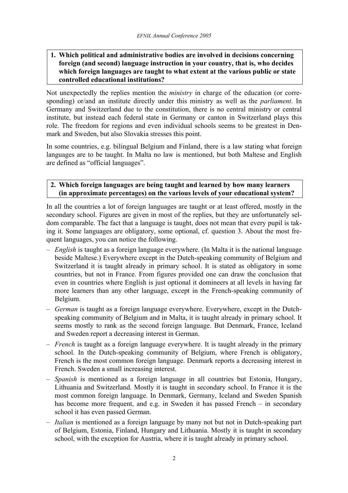# **1. Which political and administrative bodies are involved in decisions concerning foreign (and second) language instruction in your country, that is, who decides which foreign languages are taught to what extent at the various public or state controlled educational institutions?**

Not unexpectedly the replies mention the *ministry* in charge of the education (or corresponding) or/and an institute directly under this ministry as well as the *parliament*. In Germany and Switzerland due to the constitution, there is no central ministry or central institute, but instead each federal state in Germany or canton in Switzerland plays this role. The freedom for regions and even individual schools seems to be greatest in Denmark and Sweden, but also Slovakia stresses this point.

In some countries, e.g. bilingual Belgium and Finland, there is a law stating what foreign languages are to be taught. In Malta no law is mentioned, but both Maltese and English are defined as "official languages".

# **2. Which foreign languages are being taught and learned by how many learners (in approximate percentages) on the various levels of your educational system?**

In all the countries a lot of foreign languages are taught or at least offered, mostly in the secondary school. Figures are given in most of the replies, but they are unfortunately seldom comparable. The fact that a language is taught, does not mean that every pupil is taking it. Some languages are obligatory, some optional, cf. question 3. About the most frequent languages, you can notice the following.

- *English* is taught as a foreign language everywhere. (In Malta it is the national language beside Maltese.) Everywhere except in the Dutch-speaking community of Belgium and Switzerland it is taught already in primary school. It is stated as obligatory in some countries, but not in France. From figures provided one can draw the conclusion that even in countries where English is just optional it domineers at all levels in having far more learners than any other language, except in the French-speaking community of Belgium.
- *German* is taught as a foreign language everywhere. Everywhere, except in the Dutchspeaking community of Belgium and in Malta, it is taught already in primary school. It seems mostly to rank as the second foreign language. But Denmark, France, Iceland and Sweden report a decreasing interest in German.
- *French* is taught as a foreign language everywhere. It is taught already in the primary school. In the Dutch-speaking community of Belgium, where French is obligatory, French is the most common foreign language. Denmark reports a decreasing interest in French. Sweden a small increasing interest.
- *Spanish* is mentioned as a foreign language in all countries but Estonia, Hungary, Lithuania and Switzerland. Mostly it is taught in secondary school. In France it is the most common foreign language. In Denmark, Germany, Iceland and Sweden Spanish has become more frequent, and e.g. in Sweden it has passed French – in secondary school it has even passed German.
- *Italian* is mentioned as a foreign language by many not but not in Dutch-speaking part of Belgium, Estonia, Finland, Hungary and Lithuania. Mostly it is taught in secondary school, with the exception for Austria, where it is taught already in primary school.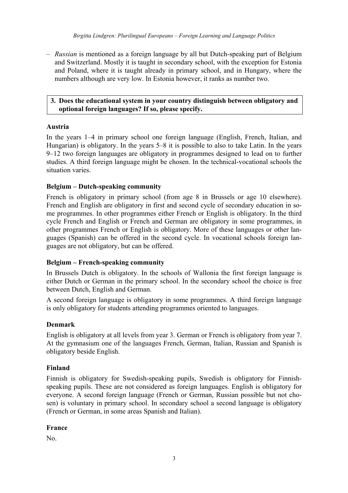– *Russian* is mentioned as a foreign language by all but Dutch-speaking part of Belgium and Switzerland. Mostly it is taught in secondary school, with the exception for Estonia and Poland, where it is taught already in primary school, and in Hungary, where the numbers although are very low. In Estonia however, it ranks as number two.

### **3. Does the educational system in your country distinguish between obligatory and optional foreign languages? If so, please specify.**

#### **Austria**

In the years 1–4 in primary school one foreign language (English, French, Italian, and Hungarian) is obligatory. In the years 5–8 it is possible to also to take Latin. In the years 9–12 two foreign languages are obligatory in programmes designed to lead on to further studies. A third foreign language might be chosen. In the technical-vocational schools the situation varies.

### **Belgium – Dutch-speaking community**

French is obligatory in primary school (from age 8 in Brussels or age 10 elsewhere). French and English are obligatory in first and second cycle of secondary education in some programmes. In other programmes either French or English is obligatory. In the third cycle French and English or French and German are obligatory in some programmes, in other programmes French or English is obligatory. More of these languages or other languages (Spanish) can be offered in the second cycle. In vocational schools foreign languages are not obligatory, but can be offered.

#### **Belgium – French-speaking community**

In Brussels Dutch is obligatory. In the schools of Wallonia the first foreign language is either Dutch or German in the primary school. In the secondary school the choice is free between Dutch, English and German.

A second foreign language is obligatory in some programmes. A third foreign language is only obligatory for students attending programmes oriented to languages.

# **Denmark**

English is obligatory at all levels from year 3. German or French is obligatory from year 7. At the gymnasium one of the languages French, German, Italian, Russian and Spanish is obligatory beside English.

# **Finland**

Finnish is obligatory for Swedish-speaking pupils, Swedish is obligatory for Finnishspeaking pupils. These are not considered as foreign languages. English is obligatory for everyone. A second foreign language (French or German, Russian possible but not chosen) is voluntary in primary school. In secondary school a second language is obligatory (French or German, in some areas Spanish and Italian).

#### **France**

No.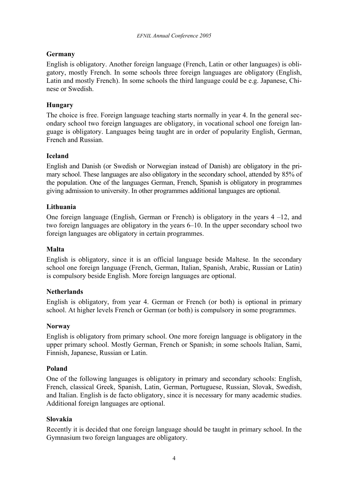# **Germany**

English is obligatory. Another foreign language (French, Latin or other languages) is obligatory, mostly French. In some schools three foreign languages are obligatory (English, Latin and mostly French). In some schools the third language could be e.g. Japanese, Chinese or Swedish.

# **Hungary**

The choice is free. Foreign language teaching starts normally in year 4. In the general secondary school two foreign languages are obligatory, in vocational school one foreign language is obligatory. Languages being taught are in order of popularity English, German, French and Russian.

# **Iceland**

English and Danish (or Swedish or Norwegian instead of Danish) are obligatory in the primary school. These languages are also obligatory in the secondary school, attended by 85% of the population. One of the languages German, French, Spanish is obligatory in programmes giving admission to university. In other programmes additional languages are optional.

# **Lithuania**

One foreign language (English, German or French) is obligatory in the years 4 –12, and two foreign languages are obligatory in the years 6–10. In the upper secondary school two foreign languages are obligatory in certain programmes.

# **Malta**

English is obligatory, since it is an official language beside Maltese. In the secondary school one foreign language (French, German, Italian, Spanish, Arabic, Russian or Latin) is compulsory beside English. More foreign languages are optional.

# **Netherlands**

English is obligatory, from year 4. German or French (or both) is optional in primary school. At higher levels French or German (or both) is compulsory in some programmes.

# **Norway**

English is obligatory from primary school. One more foreign language is obligatory in the upper primary school. Mostly German, French or Spanish; in some schools Italian, Sami, Finnish, Japanese, Russian or Latin.

# **Poland**

One of the following languages is obligatory in primary and secondary schools: English, French, classical Greek, Spanish, Latin, German, Portuguese, Russian, Slovak, Swedish, and Italian. English is de facto obligatory, since it is necessary for many academic studies. Additional foreign languages are optional.

# **Slovakia**

Recently it is decided that one foreign language should be taught in primary school. In the Gymnasium two foreign languages are obligatory.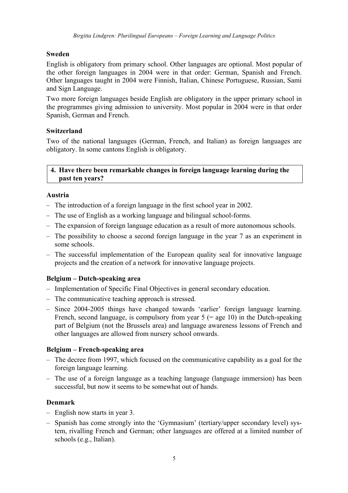### **Sweden**

English is obligatory from primary school. Other languages are optional. Most popular of the other foreign languages in 2004 were in that order: German, Spanish and French. Other languages taught in 2004 were Finnish, Italian, Chinese Portuguese, Russian, Sami and Sign Language.

Two more foreign languages beside English are obligatory in the upper primary school in the programmes giving admission to university. Most popular in 2004 were in that order Spanish, German and French.

# **Switzerland**

Two of the national languages (German, French, and Italian) as foreign languages are obligatory. In some cantons English is obligatory.

# **4. Have there been remarkable changes in foreign language learning during the past ten years?**

# **Austria**

- The introduction of a foreign language in the first school year in 2002.
- The use of English as a working language and bilingual school-forms.
- The expansion of foreign language education as a result of more autonomous schools.
- The possibility to choose a second foreign language in the year 7 as an experiment in some schools.
- The successful implementation of the European quality seal for innovative language projects and the creation of a network for innovative language projects.

# **Belgium – Dutch-speaking area**

- Implementation of Specific Final Objectives in general secondary education.
- The communicative teaching approach is stressed.
- Since 2004-2005 things have changed towards 'earlier' foreign language learning. French, second language, is compulsory from year  $5$  (= age 10) in the Dutch-speaking part of Belgium (not the Brussels area) and language awareness lessons of French and other languages are allowed from nursery school onwards.

# **Belgium – French-speaking area**

- The decree from 1997, which focused on the communicative capability as a goal for the foreign language learning.
- The use of a foreign language as a teaching language (language immersion) has been successful, but now it seems to be somewhat out of hands.

# **Denmark**

- English now starts in year 3.
- Spanish has come strongly into the 'Gymnasium' (tertiary/upper secondary level) system, rivalling French and German; other languages are offered at a limited number of schools (e.g., Italian).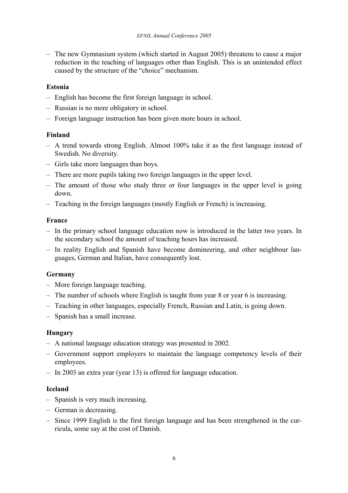– The new Gymnasium system (which started in August 2005) threatens to cause a major reduction in the teaching of languages other than English. This is an unintended effect caused by the structure of the "choice" mechanism.

### **Estonia**

- English has become the first foreign language in school.
- Russian is no more obligatory in school.
- Foreign language instruction has been given more hours in school.

#### **Finland**

- A trend towards strong English. Almost 100% take it as the first language instead of Swedish. No diversity.
- Girls take more languages than boys.
- There are more pupils taking two foreign languages in the upper level.
- The amount of those who study three or four languages in the upper level is going down.
- Teaching in the foreign languages (mostly English or French) is increasing.

### **France**

- In the primary school language education now is introduced in the latter two years. In the secondary school the amount of teaching hours has increased.
- In reality English and Spanish have become domineering, and other neighbour languages, German and Italian, have consequently lost.

# **Germany**

- More foreign language teaching.
- The number of schools where English is taught from year 8 or year 6 is increasing.
- Teaching in other languages, especially French, Russian and Latin, is going down.
- Spanish has a small increase.

# **Hungary**

- A national language education strategy was presented in 2002.
- Government support employers to maintain the language competency levels of their employees.
- In 2003 an extra year (year 13) is offered for language education.

#### **Iceland**

- Spanish is very much increasing.
- German is decreasing.
- Since 1999 English is the first foreign language and has been strengthened in the curricula, some say at the cost of Danish.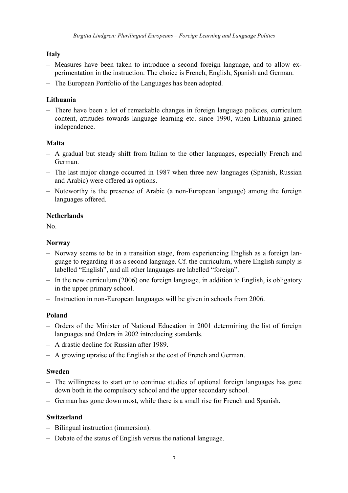### **Italy**

- Measures have been taken to introduce a second foreign language, and to allow experimentation in the instruction. The choice is French, English, Spanish and German.
- The European Portfolio of the Languages has been adopted.

### **Lithuania**

– There have been a lot of remarkable changes in foreign language policies, curriculum content, attitudes towards language learning etc. since 1990, when Lithuania gained independence.

### **Malta**

- A gradual but steady shift from Italian to the other languages, especially French and German.
- The last major change occurred in 1987 when three new languages (Spanish, Russian and Arabic) were offered as options.
- Noteworthy is the presence of Arabic (a non-European language) among the foreign languages offered.

### **Netherlands**

No.

# **Norway**

- Norway seems to be in a transition stage, from experiencing English as a foreign language to regarding it as a second language. Cf. the curriculum, where English simply is labelled "English", and all other languages are labelled "foreign".
- In the new curriculum (2006) one foreign language, in addition to English, is obligatory in the upper primary school.
- Instruction in non-European languages will be given in schools from 2006.

# **Poland**

- Orders of the Minister of National Education in 2001 determining the list of foreign languages and Orders in 2002 introducing standards.
- A drastic decline for Russian after 1989.
- A growing upraise of the English at the cost of French and German.

#### **Sweden**

- The willingness to start or to continue studies of optional foreign languages has gone down both in the compulsory school and the upper secondary school.
- German has gone down most, while there is a small rise for French and Spanish.

# **Switzerland**

- Bilingual instruction (immersion).
- Debate of the status of English versus the national language.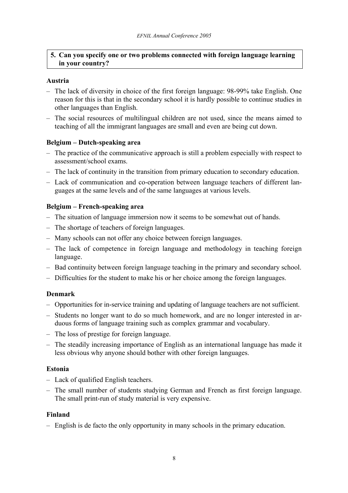# **5. Can you specify one or two problems connected with foreign language learning in your country?**

### **Austria**

- The lack of diversity in choice of the first foreign language: 98-99% take English. One reason for this is that in the secondary school it is hardly possible to continue studies in other languages than English.
- The social resources of multilingual children are not used, since the means aimed to teaching of all the immigrant languages are small and even are being cut down.

# **Belgium – Dutch-speaking area**

- The practice of the communicative approach is still a problem especially with respect to assessment/school exams.
- The lack of continuity in the transition from primary education to secondary education.
- Lack of communication and co-operation between language teachers of different languages at the same levels and of the same languages at various levels.

# **Belgium – French-speaking area**

- The situation of language immersion now it seems to be somewhat out of hands.
- The shortage of teachers of foreign languages.
- Many schools can not offer any choice between foreign languages.
- The lack of competence in foreign language and methodology in teaching foreign language.
- Bad continuity between foreign language teaching in the primary and secondary school.
- Difficulties for the student to make his or her choice among the foreign languages.

# **Denmark**

- Opportunities for in-service training and updating of language teachers are not sufficient.
- Students no longer want to do so much homework, and are no longer interested in arduous forms of language training such as complex grammar and vocabulary.
- The loss of prestige for foreign language.
- The steadily increasing importance of English as an international language has made it less obvious why anyone should bother with other foreign languages.

# **Estonia**

- Lack of qualified English teachers.
- The small number of students studying German and French as first foreign language. The small print-run of study material is very expensive.

# **Finland**

– English is de facto the only opportunity in many schools in the primary education.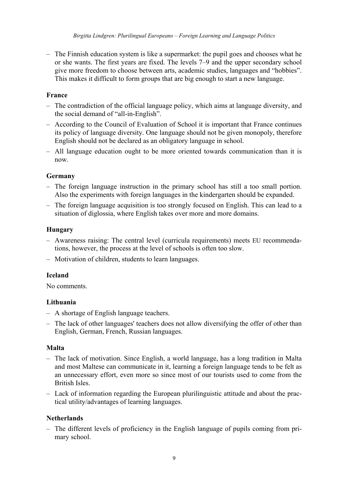– The Finnish education system is like a supermarket: the pupil goes and chooses what he or she wants. The first years are fixed. The levels 7–9 and the upper secondary school give more freedom to choose between arts, academic studies, languages and "hobbies". This makes it difficult to form groups that are big enough to start a new language.

### **France**

- The contradiction of the official language policy, which aims at language diversity, and the social demand of "all-in-English".
- According to the Council of Evaluation of School it is important that France continues its policy of language diversity. One language should not be given monopoly, therefore English should not be declared as an obligatory language in school.
- All language education ought to be more oriented towards communication than it is now.

#### **Germany**

- The foreign language instruction in the primary school has still a too small portion. Also the experiments with foreign languages in the kindergarten should be expanded.
- The foreign language acquisition is too strongly focused on English. This can lead to a situation of diglossia, where English takes over more and more domains.

### **Hungary**

- Awareness raising: The central level (curricula requirements) meets EU recommendations, however, the process at the level of schools is often too slow.
- Motivation of children, students to learn languages.

#### **Iceland**

No comments.

#### **Lithuania**

- A shortage of English language teachers.
- The lack of other languages' teachers does not allow diversifying the offer of other than English, German, French, Russian languages.

#### **Malta**

- The lack of motivation. Since English, a world language, has a long tradition in Malta and most Maltese can communicate in it, learning a foreign language tends to be felt as an unnecessary effort, even more so since most of our tourists used to come from the British Isles.
- Lack of information regarding the European plurilinguistic attitude and about the practical utility/advantages of learning languages.

#### **Netherlands**

– The different levels of proficiency in the English language of pupils coming from primary school.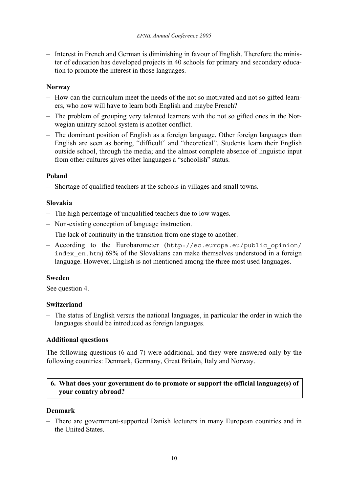– Interest in French and German is diminishing in favour of English. Therefore the minister of education has developed projects in 40 schools for primary and secondary education to promote the interest in those languages.

### **Norway**

- How can the curriculum meet the needs of the not so motivated and not so gifted learners, who now will have to learn both English and maybe French?
- The problem of grouping very talented learners with the not so gifted ones in the Norwegian unitary school system is another conflict.
- The dominant position of English as a foreign language. Other foreign languages than English are seen as boring, "difficult" and "theoretical". Students learn their English outside school, through the media; and the almost complete absence of linguistic input from other cultures gives other languages a "schoolish" status.

### **Poland**

– Shortage of qualified teachers at the schools in villages and small towns.

#### **Slovakia**

- The high percentage of unqualified teachers due to low wages.
- Non-existing conception of language instruction.
- The lack of continuity in the transition from one stage to another.
- According to the Eurobarometer (http://ec.europa.eu/public\_opinion/ index en.htm) 69% of the Slovakians can make themselves understood in a foreign language. However, English is not mentioned among the three most used languages.

#### **Sweden**

See question 4.

#### **Switzerland**

– The status of English versus the national languages, in particular the order in which the languages should be introduced as foreign languages.

#### **Additional questions**

The following questions (6 and 7) were additional, and they were answered only by the following countries: Denmark, Germany, Great Britain, Italy and Norway.

# **6. What does your government do to promote or support the official language(s) of your country abroad?**

#### **Denmark**

– There are government-supported Danish lecturers in many European countries and in the United States.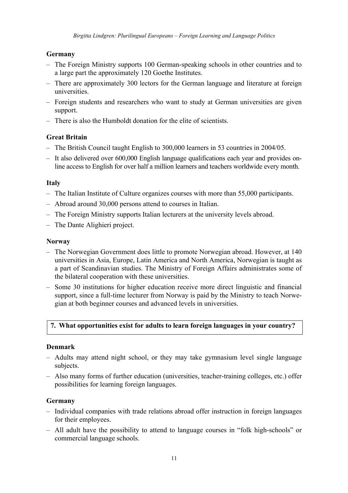### **Germany**

- The Foreign Ministry supports 100 German-speaking schools in other countries and to a large part the approximately 120 Goethe Institutes.
- There are approximately 300 lectors for the German language and literature at foreign universities.
- Foreign students and researchers who want to study at German universities are given support.
- There is also the Humboldt donation for the elite of scientists.

# **Great Britain**

- The British Council taught English to 300,000 learners in 53 countries in 2004/05.
- It also delivered over 600,000 English language qualifications each year and provides online access to English for over half a million learners and teachers worldwide every month.

#### **Italy**

- The Italian Institute of Culture organizes courses with more than 55,000 participants.
- Abroad around 30,000 persons attend to courses in Italian.
- The Foreign Ministry supports Italian lecturers at the university levels abroad.
- The Dante Alighieri project.

#### **Norway**

- The Norwegian Government does little to promote Norwegian abroad. However, at 140 universities in Asia, Europe, Latin America and North America, Norwegian is taught as a part of Scandinavian studies. The Ministry of Foreign Affairs administrates some of the bilateral cooperation with these universities.
- Some 30 institutions for higher education receive more direct linguistic and financial support, since a full-time lecturer from Norway is paid by the Ministry to teach Norwegian at both beginner courses and advanced levels in universities.

# **7. What opportunities exist for adults to learn foreign languages in your country?**

#### **Denmark**

- Adults may attend night school, or they may take gymnasium level single language subjects.
- Also many forms of further education (universities, teacher-training colleges, etc.) offer possibilities for learning foreign languages.

#### **Germany**

- Individual companies with trade relations abroad offer instruction in foreign languages for their employees.
- All adult have the possibility to attend to language courses in "folk high-schools" or commercial language schools.